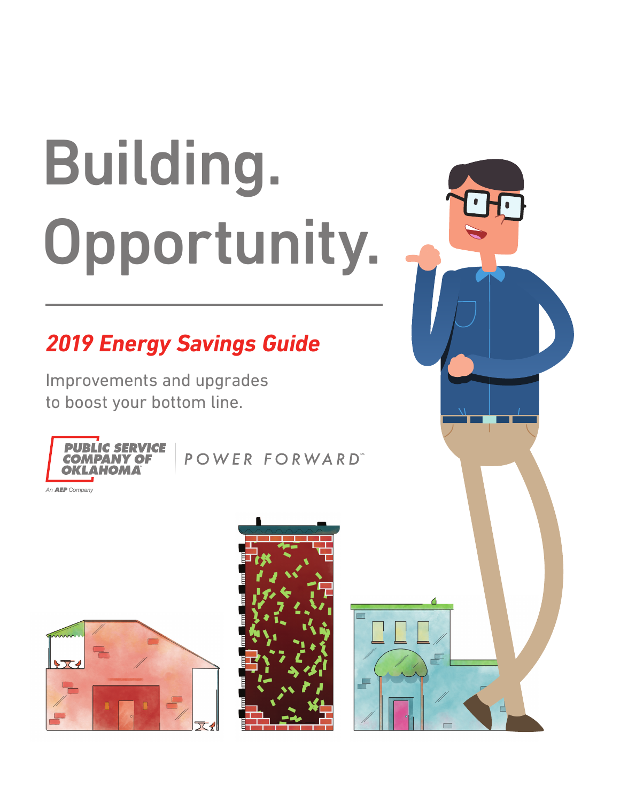# Building. Opportunity.

# *2019 Energy Savings Guide*

Improvements and upgrades to boost your bottom line.



POWER FORWARD"





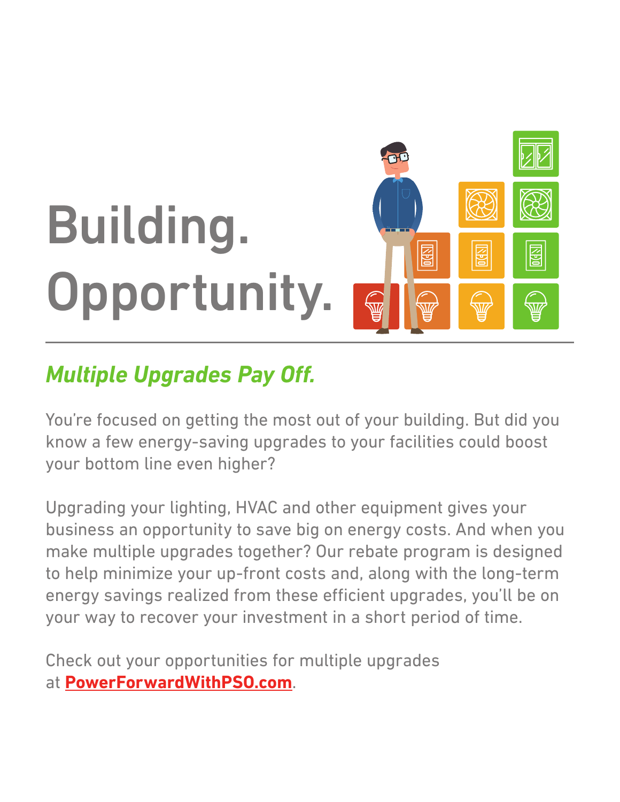

## *Multiple Upgrades Pay Off.*

You're focused on getting the most out of your building. But did you know a few energy-saving upgrades to your facilities could boost your bottom line even higher?

Upgrading your lighting, HVAC and other equipment gives your business an opportunity to save big on energy costs. And when you make multiple upgrades together? Our rebate program is designed to help minimize your up-front costs and, along with the long-term energy savings realized from these efficient upgrades, you'll be on your way to recover your investment in a short period of time.

Check out your opportunities for multiple upgrades at **[PowerForwardWithPSO.com](http://www.powerforwardwithpso.com/my-business/rebates/?utm_source=Energy%20Savings%20Guide&utm_medium=PDF&utm_campaign=Building.%20Opportunity.&utm_term=Multiple%20Upgrades)**.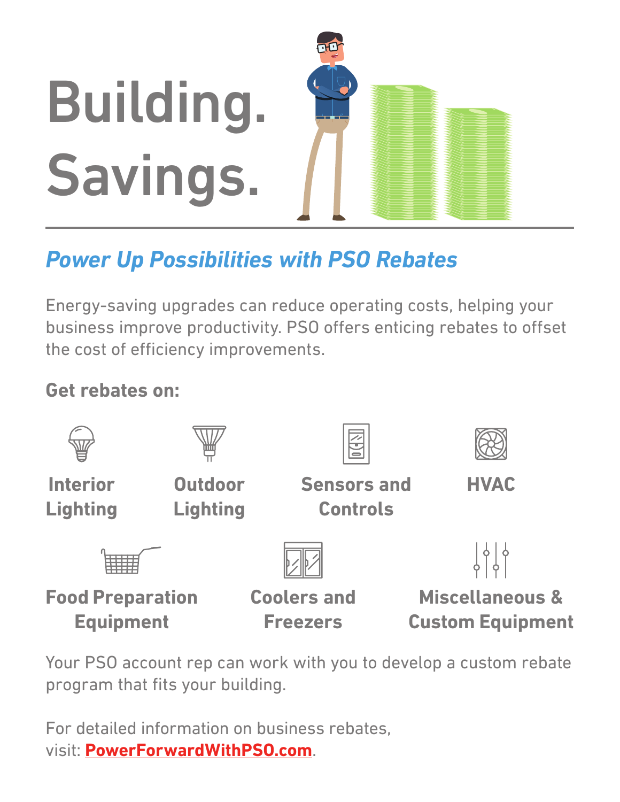

## *Power Up Possibilities with PSO Rebates*

Energy-saving upgrades can reduce operating costs, helping your business improve productivity. PSO offers enticing rebates to offset the cost of efficiency improvements.

## **Get rebates on:**



Your PSO account rep can work with you to develop a custom rebate program that fits your building.

For detailed information on business rebates, visit: **[PowerForwardWithPSO.com](http://www.powerforwardwithpso.com/my-business/rebates/?utm_source=Energy%20Savings%20Guide&utm_medium=PDF&utm_campaign=Building.%20Opportunity.&utm_term=Rebates)**.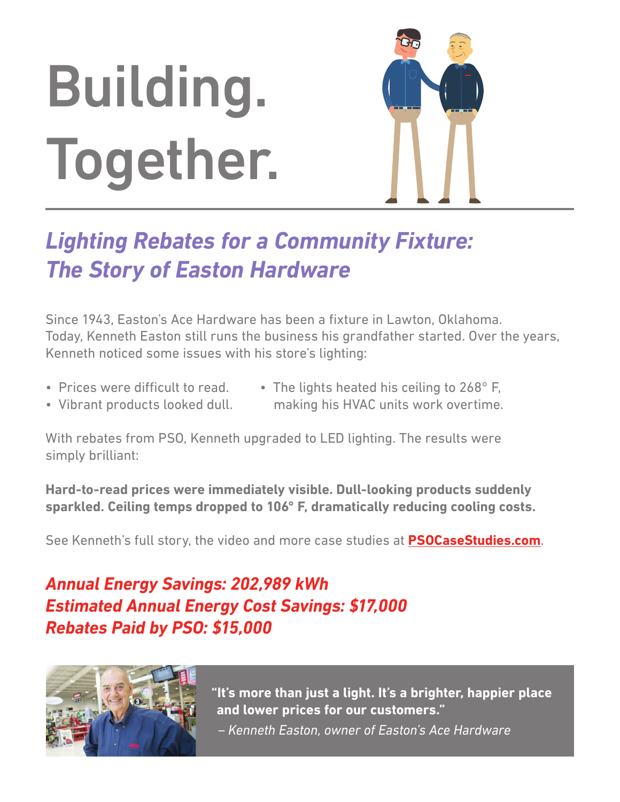# Building. Together.



## *Lighting Rebates for a Community Fixture: The Story of Easton Hardware*

Since 1943, Easton's Ace Hardware has been a fixture in Lawton, Oklahoma. Today, Kenneth Easton still runs the business his grandfather started. Over the years, Kenneth noticed some issues with his store's lighting:

- Prices were difficult to read.
- The lights heated his ceiling to 268° F, making his HVAC units work overtime.
- Vibrant products looked dull.
- With rebates from PSO, Kenneth upgraded to LED lighting. The results were simply brilliant:

**Hard-to-read prices were immediately visible. Dull-looking products suddenly sparkled. Ceiling temps dropped to 106° F, dramatically reducing cooling costs.**

See Kenneth's full story, the video and more case studies at **[PSOCaseStudies.com](http://www.powerforwardwithpso.com/my-business/case-studies/?utm_source=Energy%20Savings%20Guide&utm_medium=PDF&utm_campaign=Building.%20Opportunity.&utm_term=Case%20Study)**.

### *Annual Energy Savings: 202,989 kWh Estimated Annual Energy Cost Savings: \$17,000 Rebates Paid by PSO: \$15,000*



**"It's more than just a light. It's a brighter, happier place and lower prices for our customers."**  *– Kenneth Easton, owner of Easton's Ace Hardware*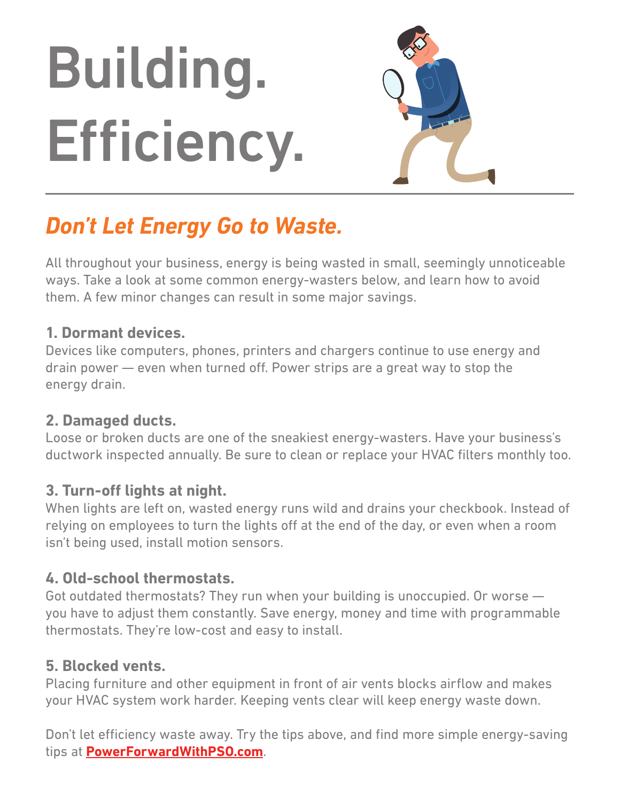# Building. Efficiency.



## *Don't Let Energy Go to Waste.*

All throughout your business, energy is being wasted in small, seemingly unnoticeable ways. Take a look at some common energy-wasters below, and learn how to avoid them. A few minor changes can result in some major savings.

#### **1. Dormant devices.**

Devices like computers, phones, printers and chargers continue to use energy and drain power — even when turned off. Power strips are a great way to stop the energy drain.

#### **2. Damaged ducts.**

Loose or broken ducts are one of the sneakiest energy-wasters. Have your business's ductwork inspected annually. Be sure to clean or replace your HVAC filters monthly too.

#### **3. Turn-off lights at night.**

When lights are left on, wasted energy runs wild and drains your checkbook. Instead of relying on employees to turn the lights off at the end of the day, or even when a room isn't being used, install motion sensors.

#### **4. Old-school thermostats.**

Got outdated thermostats? They run when your building is unoccupied. Or worse you have to adjust them constantly. Save energy, money and time with programmable thermostats. They're low-cost and easy to install.

#### **5. Blocked vents.**

Placing furniture and other equipment in front of air vents blocks airflow and makes your HVAC system work harder. Keeping vents clear will keep energy waste down.

Don't let efficiency waste away. Try the tips above, and find more simple energy-saving tips at **[PowerForwardWithPSO.com](http://www.powerforwardwithpso.com/my-business/tips-tools/?utm_source=Energy%20Savings%20Guide&utm_medium=PDF&utm_campaign=Building.%20Opportunity.&utm_term=Hidden%20Culprits)**.